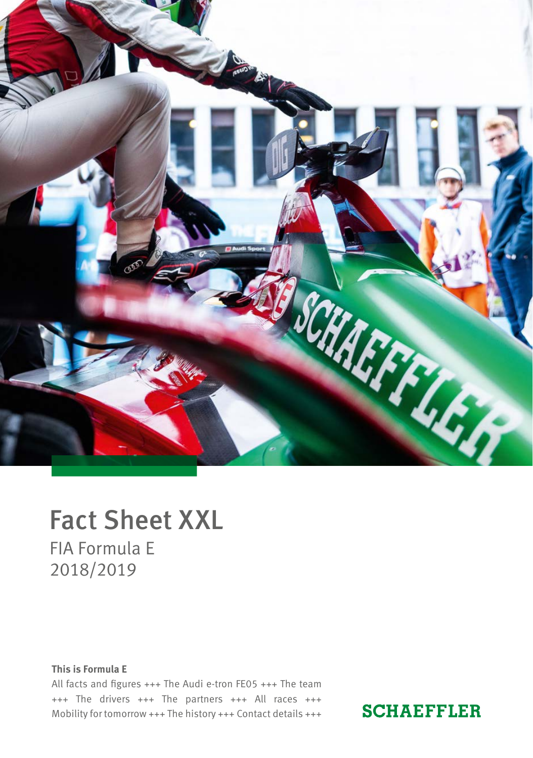

# Fact Sheet XXL FIA Formula E 2018/2019

### **This is Formula E**

All facts and figures +++ The Audi e-tron FE05 +++ The team +++ The drivers +++ The partners +++ All races +++ Mobility for tomorrow +++ The history +++ Contact details +++

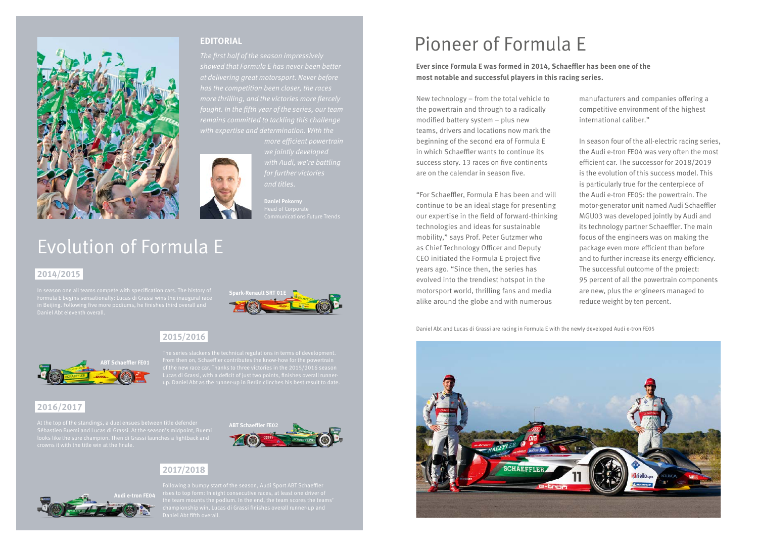

### **EDITORIAL**

*The first half of the season impressively showed that Formula E has never been better at delivering great motorsport. Never before has the competition been closer, the races* 

*and titles.*

**Daniel Pokorny**

# Evolution of Formula E

## **2014/2015**

In season one all teams compete with specification cars. The history of **Spark-Renault SRT 01E**<br>Formula E begins sensationally: Lucas di Grassi wins the inaugural race



## **2015/2016**



up. Daniel Abt as the runner-up in Berlin clinches his best result to date.

# **2016/2017**

At the top of the standings, a duel ensues between title defender **ABT Schaeffler FE02**<br>Sébastien Buemi and Lucas di Grassi. At the season's midpoint, Buemi



# **2017/2018**



# Pioneer of Formula E

**Ever since Formula E was formed in 2014, Schaeffler has been one of the most notable and successful players in this racing series.**

New technology – from the total vehicle to the powertrain and through to a radically modified battery system – plus new teams, drivers and locations now mark the beginning of the second era of Formula E in which Schaeffler wants to continue its success story. 13 races on five continents are on the calendar in season five.

"For Schaeffler, Formula E has been and will continue to be an ideal stage for presenting our expertise in the field of forward-thinking technologies and ideas for sustainable mobility," says Prof. Peter Gutzmer who as Chief Technology Officer and Deputy CEO initiated the Formula E project five years ago. "Since then, the series has evolved into the trendiest hotspot in the motorsport world, thrilling fans and media alike around the globe and with numerous

manufacturers and companies offering a competitive environment of the highest international caliber."

In season four of the all-electric racing series, the Audi e-tron FE04 was very often the most efficient car. The successor for 2018/2019 is the evolution of this success model. This is particularly true for the centerpiece of the Audi e-tron FE05: the powertrain. The motor-generator unit named Audi Schaeffler MGU03 was developed jointly by Audi and its technology partner Schaeffler. The main focus of the engineers was on making the package even more efficient than before and to further increase its energy efficiency. The successful outcome of the project: 95 percent of all the powertrain components are new, plus the engineers managed to reduce weight by ten percent.

Daniel Abt and Lucas di Grassi are racing in Formula E with the newly developed Audi e-tron FE05

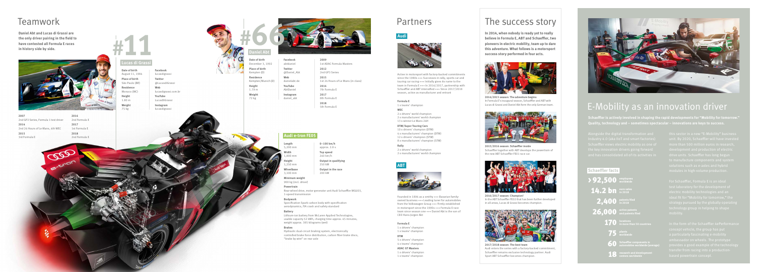# E-Mobility as an innovation driver

**Schaeffler is actively involved in shaping the rapid developments for "Mobility for tomorrow." Quality, technology and – sometimes spectacular – innovations are keys to success.**

## **Lucas di Grassi**



**Audi e-tron FE05**

**#**



# Teamwork

**Daniel Abt and Lucas di Grassi are the only driver pairing in the field to have contested all Formula E races in history side by side.**



 $\infty$ 

| 2007<br>2nd GP2 Series, Formula 1 test driver |
|-----------------------------------------------|
| 2014<br>2nd 24 Hours of Le Mans, 4th WEC      |
| 2015<br>3rd Formula E                         |



**Date of birth** August 11, 1984 **Place of birth** São Paulo (BR) **Residence** Monaco (MC) **Height** 1.80 m **Weight** 75 kg

**Facebook** lucasdigrassi **Twitter**

@LucasdiGrassi **Web**

lucasdigrassi.com.br **YouTube** LucasDiGrassi

**Instagram** lucasdigrassi

| Date of birth<br>December 3, 1992 |
|-----------------------------------|
| Place of birth<br>Kempten (D)     |
| Residence<br>Kempten/Munich (D)   |
| Height<br>1.79 m                  |
| Weight<br>72 kg                   |

**2009**

1st ADAC Formula Masters **2012** 2nd GP3 Series **2015** 1st 24 Hours of Le Mans (in class) **2016** 7th Formula E **2017**

8th Formula E **2018** 5th Formula E

**Facebook** abtdaniel **Twitter** @Daniel\_Abt **Web** danielabt.de **YouTube** AbtDaniel **Instagram** daniel\_abt

> **Length** 5,200 mm **Width** 1,800 mm **Height** 1,250 mm **Wheelbase** 3,100 mm

**Minimum weight** 900 kg (incl. driver)

**Powertrain**

Rear-wheel drive, motor-generator unit Audi Schaeffler MGU03, 1-speed transmission

### **Bodywork**

Specification Spark carbon body with specification aerodynamics, FIA crash and safety standard

#### **Battery**

26,000 and patents fil 2,400 **patents filed** 14.2 bn **euro sales**  >92,500 **employees and patents filed in 2018 in 2018**

Lithium-ion battery from McLaren Applied Technologies, usable capacity 52 kWh, charging time approx. 45 minutes, weight approx. 385 kilograms (wet)

### **Brakes**

Hydraulic dual-circuit braking system, electronically controlled brake force distribution, carbon fiber brake discs, "brake by wire" on rear axle

| $0 - 100$ km/h<br>approx. 2.8 s |
|---------------------------------|
| Top speed<br>240 km/h           |
| Output in qualifying<br>250 kW  |
| Output in the race<br>200 kW    |

**2014/2015 season: The adventure begins** In Formula E's inaugural season, Schaeffler and ABT with Lucas di Grassi and Daniel Abt form the only German team.



**2015/2016 season: Schaeffler inside** Schaeffler together with ABT develops the powertrain of the new ABT Schaeffler FE01 race car.



**2016/2017 season: Champion!** In the ABT Schaeffler FE02 that has been further developed in all areas, Lucas di Grassi becomes champion.



**2017/2018 season: The best team** Audi enters the series with a factory-backed commitment, Schaeffler remains exclusive technology partner. Audi Sport ABT Schaeffler becomes champion.



**Audi**



Active in motorsport with factory-backed commitments since the 1980s +++ Successes in rally, sports car and touring car racing +++ Initially gives its name to the team in Formula E +++ In 2016/2017, partnership with Schaeffler and ABT intensified +++ Since 2017/2018 season, active as manufacturer and entrant

#### **Formula E**

1 x teams' champion

### **WEC**

2 x drivers' world champion 2 x manufacturers' world champion 13 x winner Le Mans 24H

### **DTM/Super Touring Cars**

10 x drivers' champion (DTM) 4 x manufacturers' champion (DTM) 12 x drivers' champion (STW) 8 x manufacturers' champion (STW)

### **Rally**

2 x drivers' world champion 2 x manufacturers' world champion





Founded in 1896 as a smithy +++ Bavarian familyowned business +++ Leading tuner for automobiles from the Volkswagen Group +++ Firmly established in motorsport since the 1990s +++ Formula E race team since season one +++ Daniel Abt is the son of CEO Hans-Jürgen Abt

#### **Formula E**

1 x drivers' champion 1 x teams' champion

### **DTM**

5 x drivers' champion 4 x teams' champion

## **ADAC GT Masters**

1 x drivers' champion 1 x teams' champion

# Partners The success story

**In 2014, when nobody is ready yet to really believe in Formula E, ABT and Schaeffler, two pioneers in electric mobility, team up to dare this adventure. What follows is a motorsport success story performed in four acts.**



### **Schaeffler facts**

- 170 **locations**
- 75 **plants worldwide**
- 60 **Schaeffler components in automobiles worldwide (average)**
- 18 research and development<br> **18** centers worldwide **centers worldwide**

In the form of the Schaeffler 4ePerformance pvides a good example of the technolo